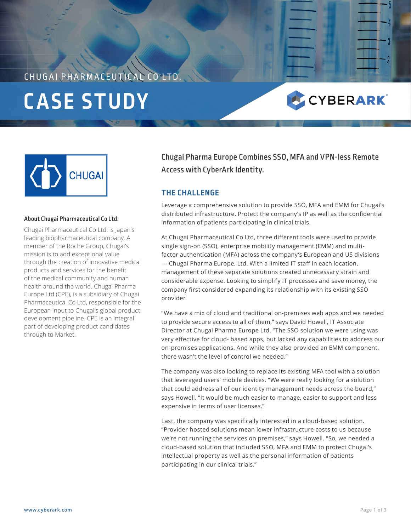# CHUGAI PHARMACEUTICAL CO LTD. **CASE STUDY**



#### About Chugai Pharmaceutical Co Ltd.

Chugai Pharmaceutical Co Ltd. is Japan's leading biopharmaceutical company. A member of the Roche Group, Chugai's mission is to add exceptional value through the creation of innovative medical products and services for the benefit of the medical community and human health around the world. Chugai Pharma Europe Ltd (CPE), is a subsidiary of Chugai Pharmaceutical Co Ltd, responsible for the European input to Chugai's global product development pipeline. CPE is an integral part of developing product candidates through to Market.

Chugai Pharma Europe Combines SSO, MFA and VPN-less Remote Access with CyberArk Identity.

CYBERARK®

### **THE CHALLENGE**

Leverage a comprehensive solution to provide SSO, MFA and EMM for Chugai's distributed infrastructure. Protect the company's IP as well as the confidential information of patients participating in clinical trials.

At Chugai Pharmaceutical Co Ltd, three different tools were used to provide single sign-on (SSO), enterprise mobility management (EMM) and multifactor authentication (MFA) across the company's European and US divisions — Chugai Pharma Europe, Ltd. With a limited IT staff in each location, management of these separate solutions created unnecessary strain and considerable expense. Looking to simplify IT processes and save money, the company first considered expanding its relationship with its existing SSO provider.

"We have a mix of cloud and traditional on-premises web apps and we needed to provide secure access to all of them," says David Howell, IT Associate Director at Chugai Pharma Europe Ltd. "The SSO solution we were using was very effective for cloud- based apps, but lacked any capabilities to address our on-premises applications. And while they also provided an EMM component, there wasn't the level of control we needed."

The company was also looking to replace its existing MFA tool with a solution that leveraged users' mobile devices. "We were really looking for a solution that could address all of our identity management needs across the board," says Howell. "It would be much easier to manage, easier to support and less expensive in terms of user licenses."

Last, the company was specifically interested in a cloud-based solution. "Provider-hosted solutions mean lower infrastructure costs to us because we're not running the services on premises," says Howell. "So, we needed a cloud-based solution that included SSO, MFA and EMM to protect Chugai's intellectual property as well as the personal information of patients participating in our clinical trials."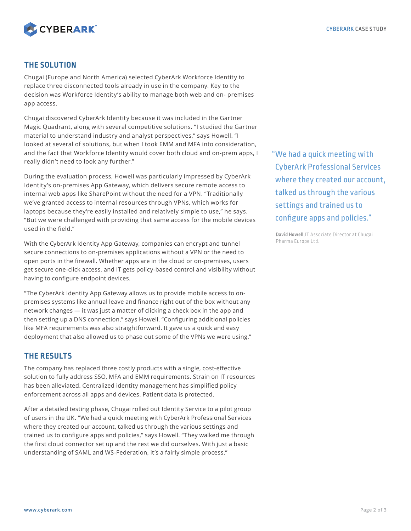

## **THE SOLUTION**

Chugai (Europe and North America) selected CyberArk Workforce Identity to replace three disconnected tools already in use in the company. Key to the decision was Workforce Identity's ability to manage both web and on- premises app access.

Chugai discovered CyberArk Identity because it was included in the Gartner Magic Quadrant, along with several competitive solutions. "I studied the Gartner material to understand industry and analyst perspectives," says Howell. "I looked at several of solutions, but when I took EMM and MFA into consideration, and the fact that Workforce Identity would cover both cloud and on-prem apps, I really didn't need to look any further."

During the evaluation process, Howell was particularly impressed by CyberArk Identity's on-premises App Gateway, which delivers secure remote access to internal web apps like SharePoint without the need for a VPN. "Traditionally we've granted access to internal resources through VPNs, which works for laptops because they're easily installed and relatively simple to use," he says. "But we were challenged with providing that same access for the mobile devices used in the field."

With the CyberArk Identity App Gateway, companies can encrypt and tunnel secure connections to on-premises applications without a VPN or the need to open ports in the firewall. Whether apps are in the cloud or on-premises, users get secure one-click access, and IT gets policy-based control and visibility without having to configure endpoint devices.

"The CyberArk Identity App Gateway allows us to provide mobile access to onpremises systems like annual leave and finance right out of the box without any network changes — it was just a matter of clicking a check box in the app and then setting up a DNS connection," says Howell. "Configuring additional policies like MFA requirements was also straightforward. It gave us a quick and easy deployment that also allowed us to phase out some of the VPNs we were using."

# **THE RESULTS**

The company has replaced three costly products with a single, cost-effective solution to fully address SSO, MFA and EMM requirements. Strain on IT resources has been alleviated. Centralized identity management has simplified policy enforcement across all apps and devices. Patient data is protected.

After a detailed testing phase, Chugai rolled out Identity Service to a pilot group of users in the UK. "We had a quick meeting with CyberArk Professional Services where they created our account, talked us through the various settings and trained us to configure apps and policies," says Howell. "They walked me through the first cloud connector set up and the rest we did ourselves. With just a basic understanding of SAML and WS-Federation, it's a fairly simple process."

"We had a quick meeting with CyberArk Professional Services where they created our account, talked us through the various settings and trained us to configure apps and policies."

**David Howell**,IT Associate Director at Chugai Pharma Europe Ltd.